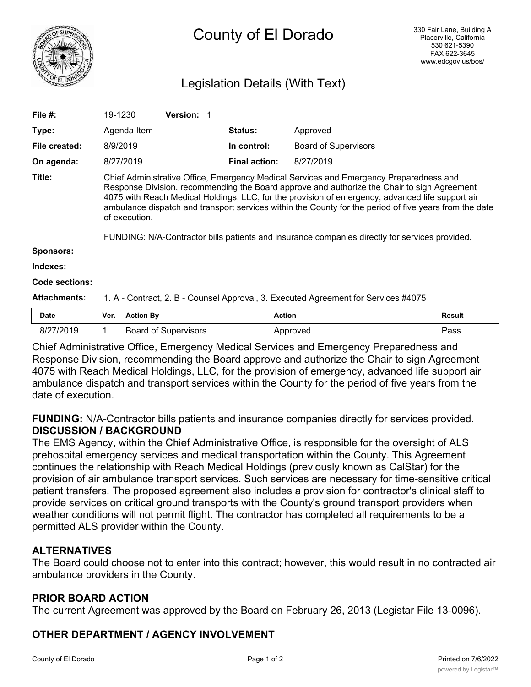

# County of El Dorado

# Legislation Details (With Text)

| File $#$ :          | 19-1230                                                                                                                                                                                                                                                                                                                                                                                                                                                                                                                |                  | <b>Version: 1</b>           |                      |                             |               |
|---------------------|------------------------------------------------------------------------------------------------------------------------------------------------------------------------------------------------------------------------------------------------------------------------------------------------------------------------------------------------------------------------------------------------------------------------------------------------------------------------------------------------------------------------|------------------|-----------------------------|----------------------|-----------------------------|---------------|
| Type:               |                                                                                                                                                                                                                                                                                                                                                                                                                                                                                                                        | Agenda Item      |                             | <b>Status:</b>       | Approved                    |               |
| File created:       | 8/9/2019                                                                                                                                                                                                                                                                                                                                                                                                                                                                                                               |                  |                             | In control:          | <b>Board of Supervisors</b> |               |
| On agenda:          |                                                                                                                                                                                                                                                                                                                                                                                                                                                                                                                        | 8/27/2019        |                             | <b>Final action:</b> | 8/27/2019                   |               |
| Title:              | Chief Administrative Office, Emergency Medical Services and Emergency Preparedness and<br>Response Division, recommending the Board approve and authorize the Chair to sign Agreement<br>4075 with Reach Medical Holdings, LLC, for the provision of emergency, advanced life support air<br>ambulance dispatch and transport services within the County for the period of five years from the date<br>of execution.<br>FUNDING: N/A-Contractor bills patients and insurance companies directly for services provided. |                  |                             |                      |                             |               |
| <b>Sponsors:</b>    |                                                                                                                                                                                                                                                                                                                                                                                                                                                                                                                        |                  |                             |                      |                             |               |
| Indexes:            |                                                                                                                                                                                                                                                                                                                                                                                                                                                                                                                        |                  |                             |                      |                             |               |
| Code sections:      |                                                                                                                                                                                                                                                                                                                                                                                                                                                                                                                        |                  |                             |                      |                             |               |
| <b>Attachments:</b> | 1. A - Contract, 2. B - Counsel Approval, 3. Executed Agreement for Services #4075                                                                                                                                                                                                                                                                                                                                                                                                                                     |                  |                             |                      |                             |               |
| Date                | Ver.                                                                                                                                                                                                                                                                                                                                                                                                                                                                                                                   | <b>Action By</b> |                             | <b>Action</b>        |                             | <b>Result</b> |
| 8/27/2019           |                                                                                                                                                                                                                                                                                                                                                                                                                                                                                                                        |                  | <b>Board of Supervisors</b> |                      | Approved                    | Pass          |

Chief Administrative Office, Emergency Medical Services and Emergency Preparedness and Response Division, recommending the Board approve and authorize the Chair to sign Agreement 4075 with Reach Medical Holdings, LLC, for the provision of emergency, advanced life support air ambulance dispatch and transport services within the County for the period of five years from the date of execution.

**FUNDING:** N/A-Contractor bills patients and insurance companies directly for services provided. **DISCUSSION / BACKGROUND**

The EMS Agency, within the Chief Administrative Office, is responsible for the oversight of ALS prehospital emergency services and medical transportation within the County. This Agreement continues the relationship with Reach Medical Holdings (previously known as CalStar) for the provision of air ambulance transport services. Such services are necessary for time-sensitive critical patient transfers. The proposed agreement also includes a provision for contractor's clinical staff to provide services on critical ground transports with the County's ground transport providers when weather conditions will not permit flight. The contractor has completed all requirements to be a permitted ALS provider within the County.

## **ALTERNATIVES**

The Board could choose not to enter into this contract; however, this would result in no contracted air ambulance providers in the County.

#### **PRIOR BOARD ACTION**

The current Agreement was approved by the Board on February 26, 2013 (Legistar File 13-0096).

## **OTHER DEPARTMENT / AGENCY INVOLVEMENT**